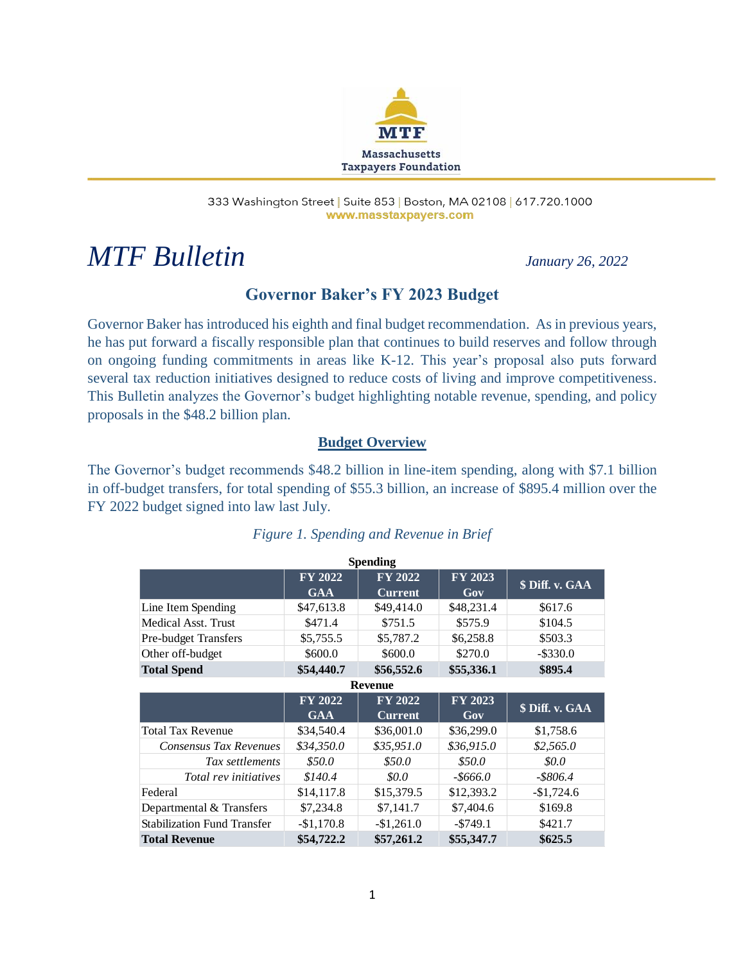

333 Washington Street | Suite 853 | Boston, MA 02108 | 617.720.1000 www.masstaxpayers.com

# *MTF Bulletin January 26, 2022*

## **Governor Baker's FY 2023 Budget**

Governor Baker has introduced his eighth and final budget recommendation. As in previous years, he has put forward a fiscally responsible plan that continues to build reserves and follow through on ongoing funding commitments in areas like K-12. This year's proposal also puts forward several tax reduction initiatives designed to reduce costs of living and improve competitiveness. This Bulletin analyzes the Governor's budget highlighting notable revenue, spending, and policy proposals in the \$48.2 billion plan.

#### **Budget Overview**

The Governor's budget recommends \$48.2 billion in line-item spending, along with \$7.1 billion in off-budget transfers, for total spending of \$55.3 billion, an increase of \$895.4 million over the FY 2022 budget signed into law last July.

#### *Figure 1. Spending and Revenue in Brief*

| <b>Spending</b>                    |                       |                                  |                |                 |  |
|------------------------------------|-----------------------|----------------------------------|----------------|-----------------|--|
|                                    | FY 2022<br><b>GAA</b> | <b>FY 2022</b><br><b>Current</b> | FY 2023<br>Gov | \$ Diff. v. GAA |  |
| Line Item Spending                 | \$47,613.8            | \$49,414.0                       | \$48,231.4     | \$617.6         |  |
| Medical Asst. Trust                | \$471.4               | \$751.5                          | \$575.9        | \$104.5         |  |
| <b>Pre-budget Transfers</b>        | \$5,755.5             | \$5,787.2                        | \$6,258.8      | \$503.3         |  |
| Other off-budget                   | \$600.0               | \$600.0                          | \$270.0        | $-$ \$330.0     |  |
| <b>Total Spend</b>                 | \$54,440.7            | \$56,552.6                       | \$55,336.1     | \$895.4         |  |
|                                    |                       | <b>Revenue</b>                   |                |                 |  |
|                                    | FY 2022               | <b>FY 2022</b><br>FY 2023        |                | \$ Diff. v. GAA |  |
|                                    | <b>GAA</b>            | <b>Current</b>                   | Gov            |                 |  |
| <b>Total Tax Revenue</b>           | \$34,540.4            | \$36,001.0                       | \$36,299.0     | \$1,758.6       |  |
| Consensus Tax Revenues             | \$34,350.0            | \$35,951.0                       | \$36,915.0     | \$2,565.0       |  |
| Tax settlements                    | \$50.0                | \$50.0                           | \$50.0         | \$0.0           |  |
| <i>Total rev initiatives</i>       | \$140.4               | \$0.0                            | -\$666.0       | -\$806.4        |  |
| Federal                            | \$14,117.8            | \$15,379.5                       | \$12,393.2     | $-$1,724.6$     |  |
| Departmental & Transfers           | \$7,234.8             | \$7,141.7                        | \$7,404.6      | \$169.8         |  |
| <b>Stabilization Fund Transfer</b> |                       |                                  | $-$749.1$      | \$421.7         |  |
|                                    | $-$1,170.8$           | $-$1,261.0$                      |                |                 |  |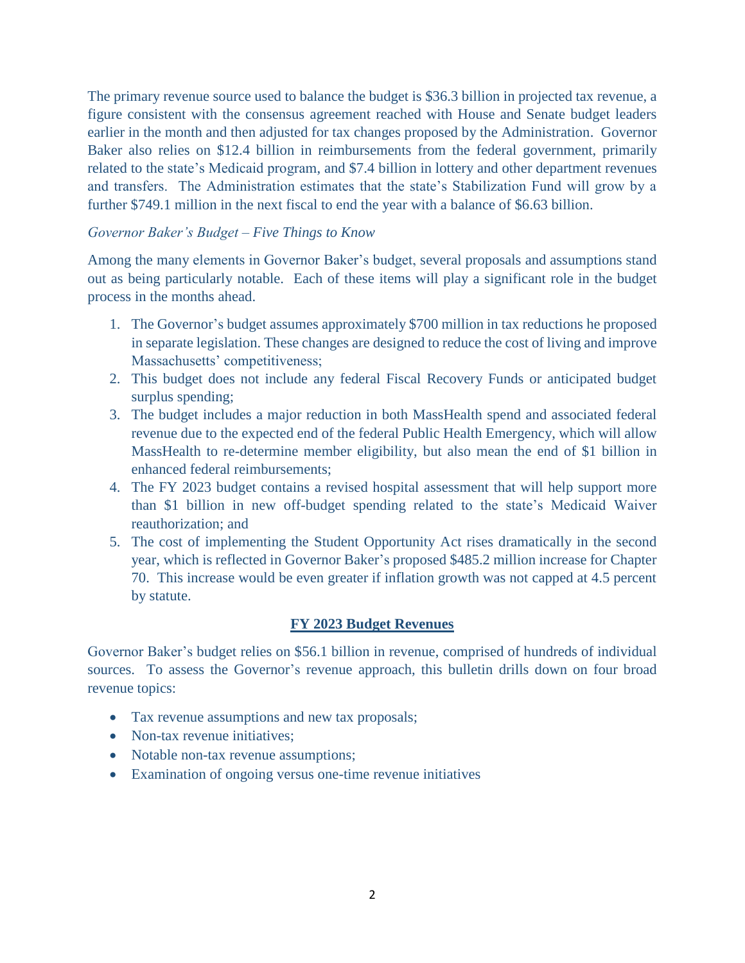The primary revenue source used to balance the budget is \$36.3 billion in projected tax revenue, a figure consistent with the consensus agreement reached with House and Senate budget leaders earlier in the month and then adjusted for tax changes proposed by the Administration. Governor Baker also relies on \$12.4 billion in reimbursements from the federal government, primarily related to the state's Medicaid program, and \$7.4 billion in lottery and other department revenues and transfers. The Administration estimates that the state's Stabilization Fund will grow by a further \$749.1 million in the next fiscal to end the year with a balance of \$6.63 billion.

#### *Governor Baker's Budget – Five Things to Know*

Among the many elements in Governor Baker's budget, several proposals and assumptions stand out as being particularly notable. Each of these items will play a significant role in the budget process in the months ahead.

- 1. The Governor's budget assumes approximately \$700 million in tax reductions he proposed in separate legislation. These changes are designed to reduce the cost of living and improve Massachusetts' competitiveness;
- 2. This budget does not include any federal Fiscal Recovery Funds or anticipated budget surplus spending;
- 3. The budget includes a major reduction in both MassHealth spend and associated federal revenue due to the expected end of the federal Public Health Emergency, which will allow MassHealth to re-determine member eligibility, but also mean the end of \$1 billion in enhanced federal reimbursements;
- 4. The FY 2023 budget contains a revised hospital assessment that will help support more than \$1 billion in new off-budget spending related to the state's Medicaid Waiver reauthorization; and
- 5. The cost of implementing the Student Opportunity Act rises dramatically in the second year, which is reflected in Governor Baker's proposed \$485.2 million increase for Chapter 70. This increase would be even greater if inflation growth was not capped at 4.5 percent by statute.

#### **FY 2023 Budget Revenues**

Governor Baker's budget relies on \$56.1 billion in revenue, comprised of hundreds of individual sources. To assess the Governor's revenue approach, this bulletin drills down on four broad revenue topics:

- Tax revenue assumptions and new tax proposals;
- Non-tax revenue initiatives;
- Notable non-tax revenue assumptions;
- Examination of ongoing versus one-time revenue initiatives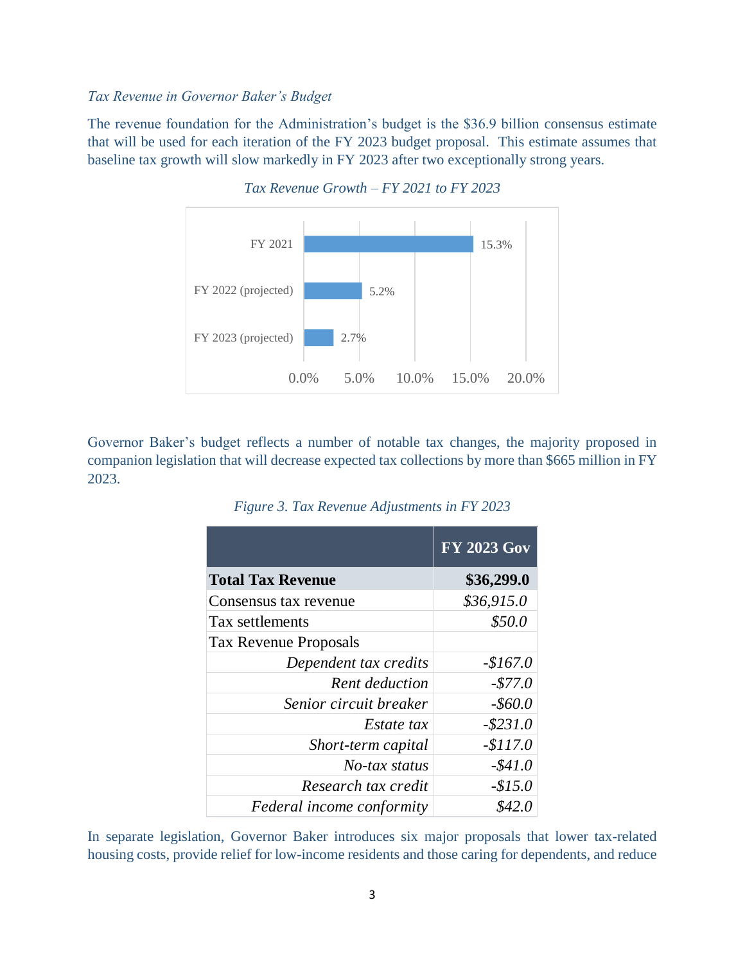#### *Tax Revenue in Governor Baker's Budget*

The revenue foundation for the Administration's budget is the \$36.9 billion consensus estimate that will be used for each iteration of the FY 2023 budget proposal. This estimate assumes that baseline tax growth will slow markedly in FY 2023 after two exceptionally strong years.



*Tax Revenue Growth – FY 2021 to FY 2023*

Governor Baker's budget reflects a number of notable tax changes, the majority proposed in companion legislation that will decrease expected tax collections by more than \$665 million in FY 2023.

|                              | <b>FY 2023 Gov</b> |
|------------------------------|--------------------|
| <b>Total Tax Revenue</b>     | \$36,299.0         |
| Consensus tax revenue        | \$36,915.0         |
| Tax settlements              | \$50.0             |
| <b>Tax Revenue Proposals</b> |                    |
| Dependent tax credits        | $-$167.0$          |
| <b>Rent</b> deduction        | $-$77.0$           |
| Senior circuit breaker       | $-$ \$60.0         |
| Estate tax                   | $-$ \$231.0        |
| Short-term capital           | $-$117.0$          |
| No-tax status                | $-$ \$41.0         |
| Research tax credit          | $-$15.0$           |
| Federal income conformity    | \$42.0             |

*Figure 3. Tax Revenue Adjustments in FY 2023*

In separate legislation, Governor Baker introduces six major proposals that lower tax-related housing costs, provide relief for low-income residents and those caring for dependents, and reduce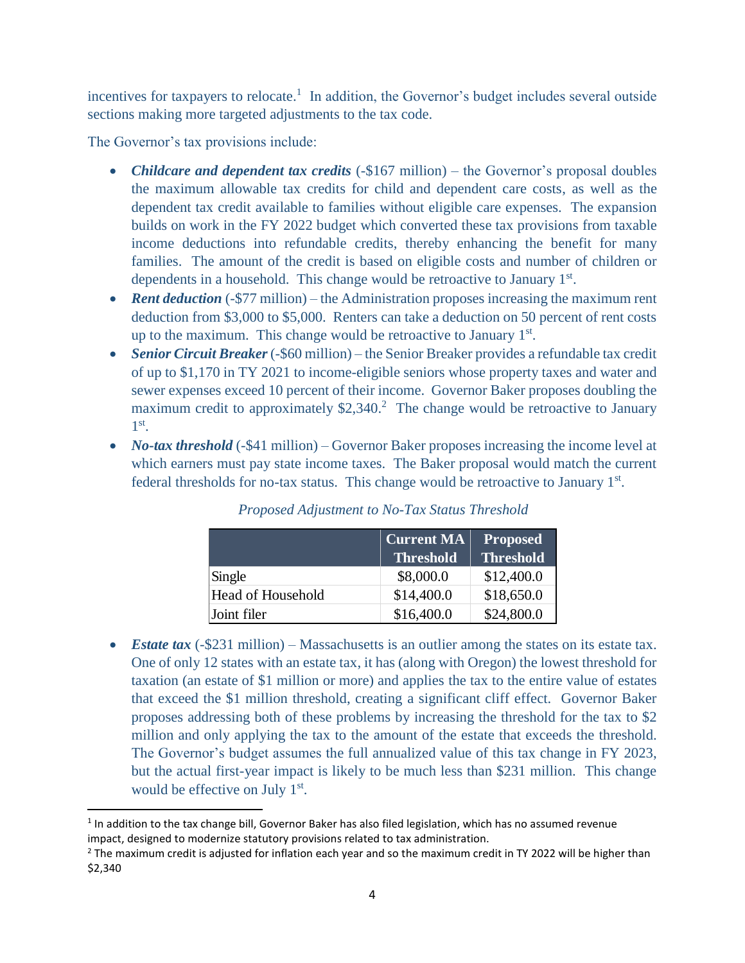incentives for taxpayers to relocate.<sup>1</sup> In addition, the Governor's budget includes several outside sections making more targeted adjustments to the tax code.

The Governor's tax provisions include:

 $\overline{\phantom{a}}$ 

- *Childcare and dependent tax credits* (-\$167 million) the Governor's proposal doubles the maximum allowable tax credits for child and dependent care costs, as well as the dependent tax credit available to families without eligible care expenses. The expansion builds on work in the FY 2022 budget which converted these tax provisions from taxable income deductions into refundable credits, thereby enhancing the benefit for many families. The amount of the credit is based on eligible costs and number of children or dependents in a household. This change would be retroactive to January 1<sup>st</sup>.
- **Rent deduction** (-\$77 million) the Administration proposes increasing the maximum rent deduction from \$3,000 to \$5,000. Renters can take a deduction on 50 percent of rent costs up to the maximum. This change would be retroactive to January  $1<sup>st</sup>$ .
- *Senior Circuit Breaker* (-\$60 million) the Senior Breaker provides a refundable tax credit of up to \$1,170 in TY 2021 to income-eligible seniors whose property taxes and water and sewer expenses exceed 10 percent of their income. Governor Baker proposes doubling the maximum credit to approximately  $$2,340$ .<sup>2</sup> The change would be retroactive to January 1 st .
- *No-tax threshold* (-\$41 million) Governor Baker proposes increasing the income level at which earners must pay state income taxes. The Baker proposal would match the current federal thresholds for no-tax status. This change would be retroactive to January  $1<sup>st</sup>$ .

|                   | <b>Current MA</b> | <b>Proposed</b>  |
|-------------------|-------------------|------------------|
|                   | <b>Threshold</b>  | <b>Threshold</b> |
| Single            | \$8,000.0         | \$12,400.0       |
| Head of Household | \$14,400.0        | \$18,650.0       |
| Joint filer       | \$16,400.0        | \$24,800.0       |

*Proposed Adjustment to No-Tax Status Threshold*

• *Estate tax* (-\$231 million) – Massachusetts is an outlier among the states on its estate tax. One of only 12 states with an estate tax, it has (along with Oregon) the lowest threshold for taxation (an estate of \$1 million or more) and applies the tax to the entire value of estates that exceed the \$1 million threshold, creating a significant cliff effect. Governor Baker proposes addressing both of these problems by increasing the threshold for the tax to \$2 million and only applying the tax to the amount of the estate that exceeds the threshold. The Governor's budget assumes the full annualized value of this tax change in FY 2023, but the actual first-year impact is likely to be much less than \$231 million. This change would be effective on July  $1<sup>st</sup>$ .

 $<sup>1</sup>$  In addition to the tax change bill, Governor Baker has also filed legislation, which has no assumed revenue</sup> impact, designed to modernize statutory provisions related to tax administration.

 $2$  The maximum credit is adjusted for inflation each year and so the maximum credit in TY 2022 will be higher than \$2,340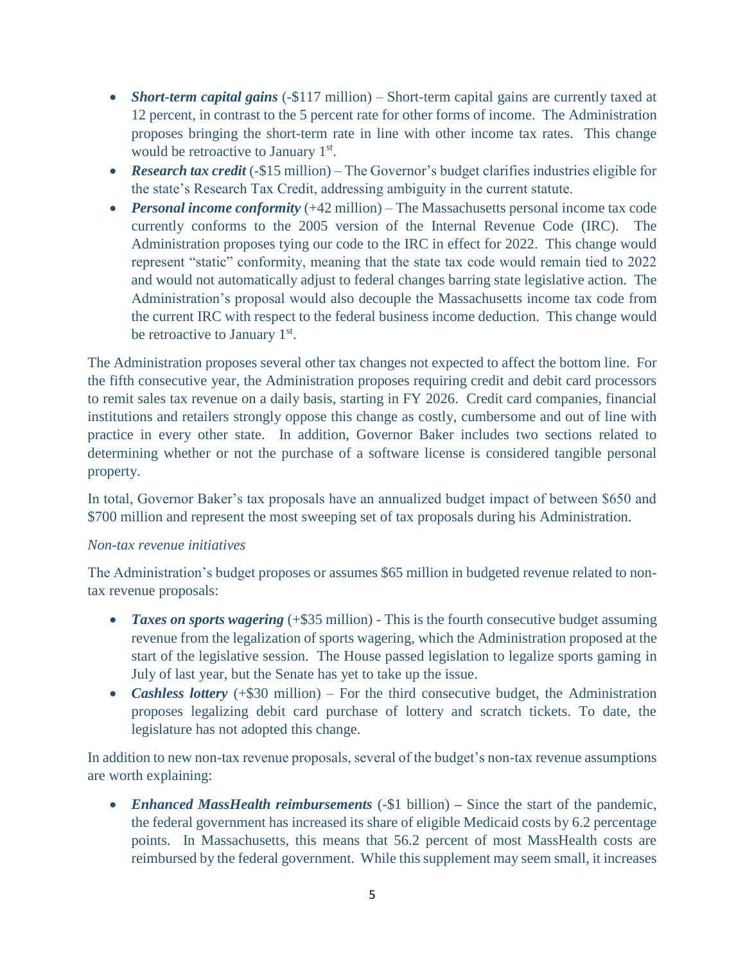- **Short-term capital gains** (-\$117 million) Short-term capital gains are currently taxed at 12 percent, in contrast to the 5 percent rate for other forms of income. The Administration proposes bringing the short-term rate in line with other income tax rates. This change would be retroactive to January 1st.
- *Research tax credit* (-\$15 million) The Governor's budget clarifies industries eligible for the state's Research Tax Credit, addressing ambiguity in the current statute.
- *Personal income conformity* (+42 million) The Massachusetts personal income tax code currently conforms to the 2005 version of the Internal Revenue Code (IRC). The Administration proposes tying our code to the IRC in effect for 2022. This change would represent "static" conformity, meaning that the state tax code would remain tied to 2022 and would not automatically adjust to federal changes barring state legislative action. The Administration's proposal would also decouple the Massachusetts income tax code from the current IRC with respect to the federal business income deduction. This change would be retroactive to January 1<sup>st</sup>.

The Administration proposes several other tax changes not expected to affect the bottom line. For the fifth consecutive year, the Administration proposes requiring credit and debit card processors to remit sales tax revenue on a daily basis, starting in FY 2026. Credit card companies, financial institutions and retailers strongly oppose this change as costly, cumbersome and out of line with practice in every other state. In addition, Governor Baker includes two sections related to determining whether or not the purchase of a software license is considered tangible personal property.

In total, Governor Baker's tax proposals have an annualized budget impact of between \$650 and \$700 million and represent the most sweeping set of tax proposals during his Administration.

### *Non-tax revenue initiatives*

The Administration's budget proposes or assumes \$65 million in budgeted revenue related to nontax revenue proposals:

- **Taxes on sports wagering** (+\$35 million) This is the fourth consecutive budget assuming revenue from the legalization of sports wagering, which the Administration proposed at the start of the legislative session. The House passed legislation to legalize sports gaming in July of last year, but the Senate has yet to take up the issue.
- *Cashless lottery* (+\$30 million) For the third consecutive budget, the Administration proposes legalizing debit card purchase of lottery and scratch tickets. To date, the legislature has not adopted this change.

In addition to new non-tax revenue proposals, several of the budget's non-tax revenue assumptions are worth explaining:

• *Enhanced MassHealth reimbursements* (-\$1 billion) – Since the start of the pandemic, the federal government has increased its share of eligible Medicaid costs by 6.2 percentage points. In Massachusetts, this means that 56.2 percent of most MassHealth costs are reimbursed by the federal government. While this supplement may seem small, it increases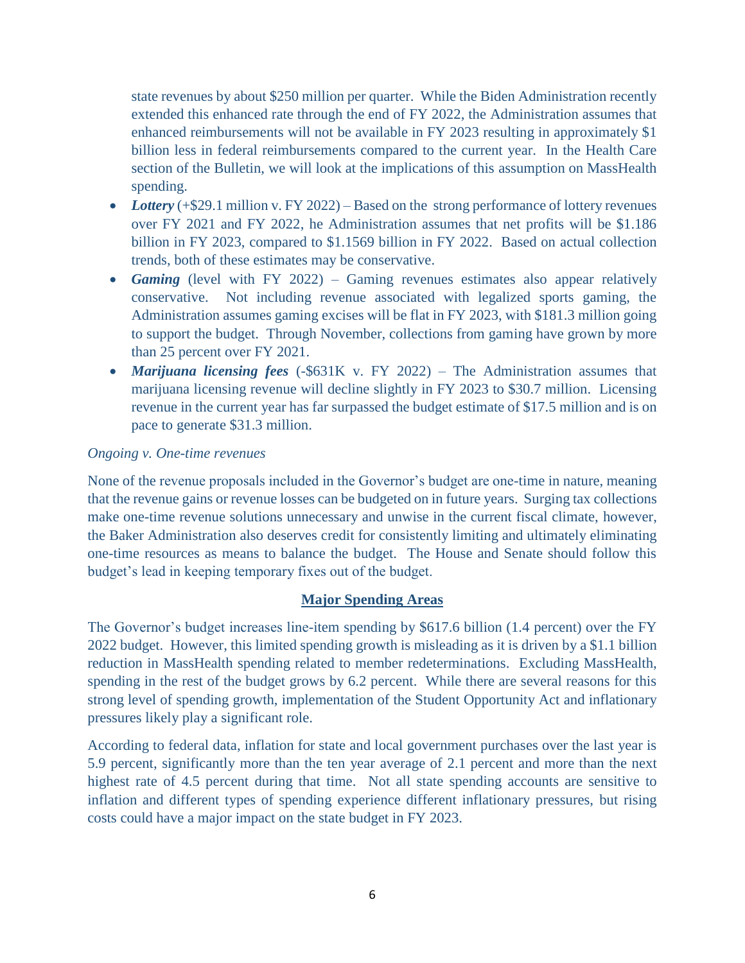state revenues by about \$250 million per quarter. While the Biden Administration recently extended this enhanced rate through the end of FY 2022, the Administration assumes that enhanced reimbursements will not be available in FY 2023 resulting in approximately \$1 billion less in federal reimbursements compared to the current year. In the Health Care section of the Bulletin, we will look at the implications of this assumption on MassHealth spending.

- Lottery (+\$29.1 million v. FY 2022) Based on the strong performance of lottery revenues over FY 2021 and FY 2022, he Administration assumes that net profits will be \$1.186 billion in FY 2023, compared to \$1.1569 billion in FY 2022. Based on actual collection trends, both of these estimates may be conservative.
- *Gaming* (level with FY 2022) Gaming revenues estimates also appear relatively conservative. Not including revenue associated with legalized sports gaming, the Administration assumes gaming excises will be flat in FY 2023, with \$181.3 million going to support the budget. Through November, collections from gaming have grown by more than 25 percent over FY 2021.
- *Marijuana licensing fees* (-\$631K v. FY 2022) The Administration assumes that marijuana licensing revenue will decline slightly in FY 2023 to \$30.7 million. Licensing revenue in the current year has far surpassed the budget estimate of \$17.5 million and is on pace to generate \$31.3 million.

#### *Ongoing v. One-time revenues*

None of the revenue proposals included in the Governor's budget are one-time in nature, meaning that the revenue gains or revenue losses can be budgeted on in future years. Surging tax collections make one-time revenue solutions unnecessary and unwise in the current fiscal climate, however, the Baker Administration also deserves credit for consistently limiting and ultimately eliminating one-time resources as means to balance the budget. The House and Senate should follow this budget's lead in keeping temporary fixes out of the budget.

#### **Major Spending Areas**

The Governor's budget increases line-item spending by \$617.6 billion (1.4 percent) over the FY 2022 budget. However, this limited spending growth is misleading as it is driven by a \$1.1 billion reduction in MassHealth spending related to member redeterminations. Excluding MassHealth, spending in the rest of the budget grows by 6.2 percent. While there are several reasons for this strong level of spending growth, implementation of the Student Opportunity Act and inflationary pressures likely play a significant role.

According to federal data, inflation for state and local government purchases over the last year is 5.9 percent, significantly more than the ten year average of 2.1 percent and more than the next highest rate of 4.5 percent during that time. Not all state spending accounts are sensitive to inflation and different types of spending experience different inflationary pressures, but rising costs could have a major impact on the state budget in FY 2023.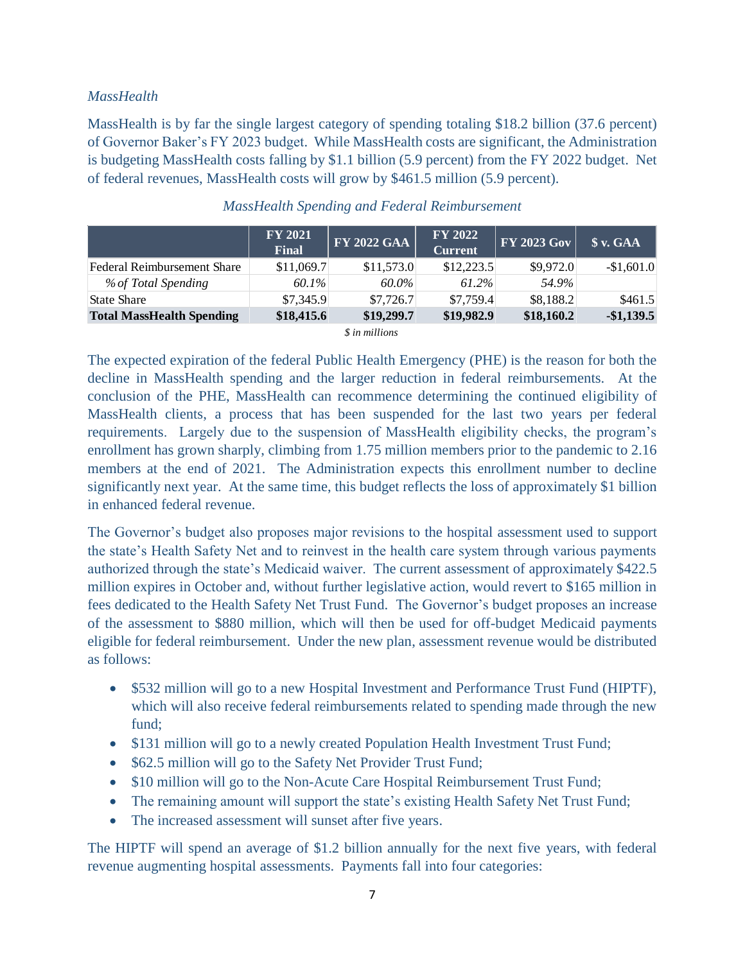### *MassHealth*

MassHealth is by far the single largest category of spending totaling \$18.2 billion (37.6 percent) of Governor Baker's FY 2023 budget. While MassHealth costs are significant, the Administration is budgeting MassHealth costs falling by \$1.1 billion (5.9 percent) from the FY 2022 budget. Net of federal revenues, MassHealth costs will grow by \$461.5 million (5.9 percent).

|                                  | <b>FY 2021</b><br>Final | <b>FY 2022 GAA</b> | <b>FY 2022</b><br><b>Current</b> | <b>FY 2023 Gov</b> | \$ v. GAA   |
|----------------------------------|-------------------------|--------------------|----------------------------------|--------------------|-------------|
| Federal Reimbursement Share      | \$11,069.7              | \$11,573.0         | \$12,223.5                       | \$9,972.0          | $-$1,601.0$ |
| % of Total Spending              | 60.1%                   | $60.0\%$           | $61.2\%$                         | 54.9%              |             |
| <b>State Share</b>               | \$7,345.9               | \$7,726.7          | \$7,759.4                        | \$8,188.2          | \$461.5     |
| <b>Total MassHealth Spending</b> | \$18,415.6              | \$19,299.7         | \$19,982.9                       | \$18,160.2         | $-$1,139.5$ |

## *MassHealth Spending and Federal Reimbursement*

The expected expiration of the federal Public Health Emergency (PHE) is the reason for both the decline in MassHealth spending and the larger reduction in federal reimbursements. At the conclusion of the PHE, MassHealth can recommence determining the continued eligibility of MassHealth clients, a process that has been suspended for the last two years per federal requirements. Largely due to the suspension of MassHealth eligibility checks, the program's enrollment has grown sharply, climbing from 1.75 million members prior to the pandemic to 2.16 members at the end of 2021. The Administration expects this enrollment number to decline significantly next year. At the same time, this budget reflects the loss of approximately \$1 billion in enhanced federal revenue.

The Governor's budget also proposes major revisions to the hospital assessment used to support the state's Health Safety Net and to reinvest in the health care system through various payments authorized through the state's Medicaid waiver. The current assessment of approximately \$422.5 million expires in October and, without further legislative action, would revert to \$165 million in fees dedicated to the Health Safety Net Trust Fund. The Governor's budget proposes an increase of the assessment to \$880 million, which will then be used for off-budget Medicaid payments eligible for federal reimbursement. Under the new plan, assessment revenue would be distributed as follows:

- \$532 million will go to a new Hospital Investment and Performance Trust Fund (HIPTF), which will also receive federal reimbursements related to spending made through the new fund;
- \$131 million will go to a newly created Population Health Investment Trust Fund;
- \$62.5 million will go to the Safety Net Provider Trust Fund;
- \$10 million will go to the Non-Acute Care Hospital Reimbursement Trust Fund;
- The remaining amount will support the state's existing Health Safety Net Trust Fund;
- The increased assessment will sunset after five years.

The HIPTF will spend an average of \$1.2 billion annually for the next five years, with federal revenue augmenting hospital assessments. Payments fall into four categories:

*<sup>\$</sup> in millions*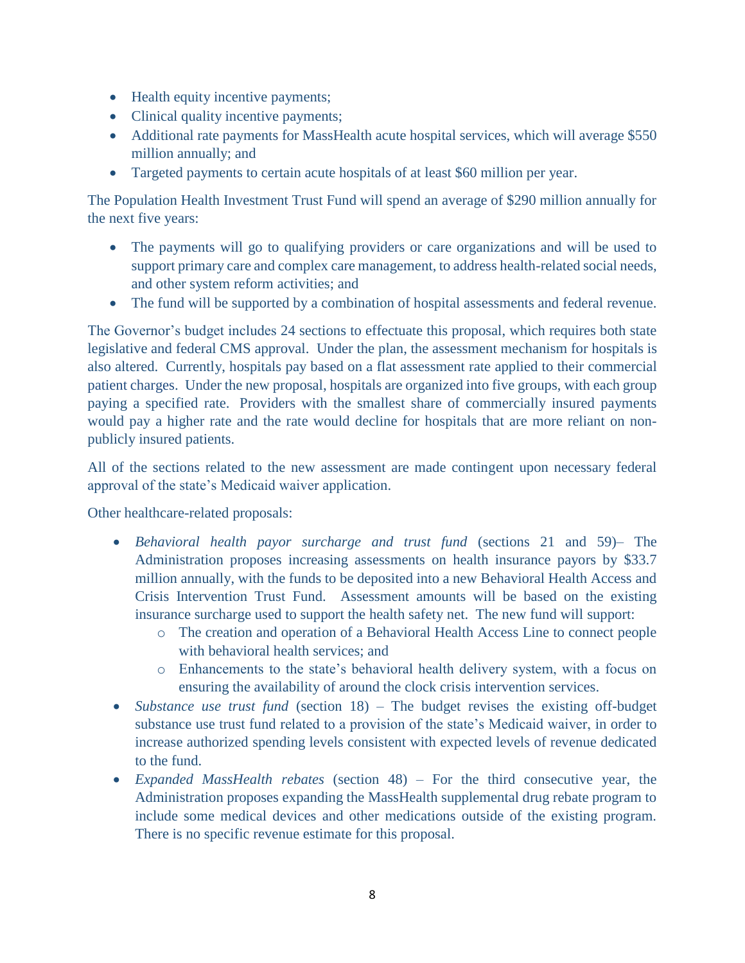- Health equity incentive payments;
- Clinical quality incentive payments;
- Additional rate payments for MassHealth acute hospital services, which will average \$550 million annually; and
- Targeted payments to certain acute hospitals of at least \$60 million per year.

The Population Health Investment Trust Fund will spend an average of \$290 million annually for the next five years:

- The payments will go to qualifying providers or care organizations and will be used to support primary care and complex care management, to address health-related social needs, and other system reform activities; and
- The fund will be supported by a combination of hospital assessments and federal revenue.

The Governor's budget includes 24 sections to effectuate this proposal, which requires both state legislative and federal CMS approval. Under the plan, the assessment mechanism for hospitals is also altered. Currently, hospitals pay based on a flat assessment rate applied to their commercial patient charges. Under the new proposal, hospitals are organized into five groups, with each group paying a specified rate. Providers with the smallest share of commercially insured payments would pay a higher rate and the rate would decline for hospitals that are more reliant on nonpublicly insured patients.

All of the sections related to the new assessment are made contingent upon necessary federal approval of the state's Medicaid waiver application.

Other healthcare-related proposals:

- *Behavioral health payor surcharge and trust fund* (sections 21 and 59)– The Administration proposes increasing assessments on health insurance payors by \$33.7 million annually, with the funds to be deposited into a new Behavioral Health Access and Crisis Intervention Trust Fund. Assessment amounts will be based on the existing insurance surcharge used to support the health safety net. The new fund will support:
	- o The creation and operation of a Behavioral Health Access Line to connect people with behavioral health services; and
	- o Enhancements to the state's behavioral health delivery system, with a focus on ensuring the availability of around the clock crisis intervention services.
- *Substance use trust fund* (section 18) The budget revises the existing off-budget substance use trust fund related to a provision of the state's Medicaid waiver, in order to increase authorized spending levels consistent with expected levels of revenue dedicated to the fund.
- *Expanded MassHealth rebates* (section 48) *–* For the third consecutive year, the Administration proposes expanding the MassHealth supplemental drug rebate program to include some medical devices and other medications outside of the existing program. There is no specific revenue estimate for this proposal.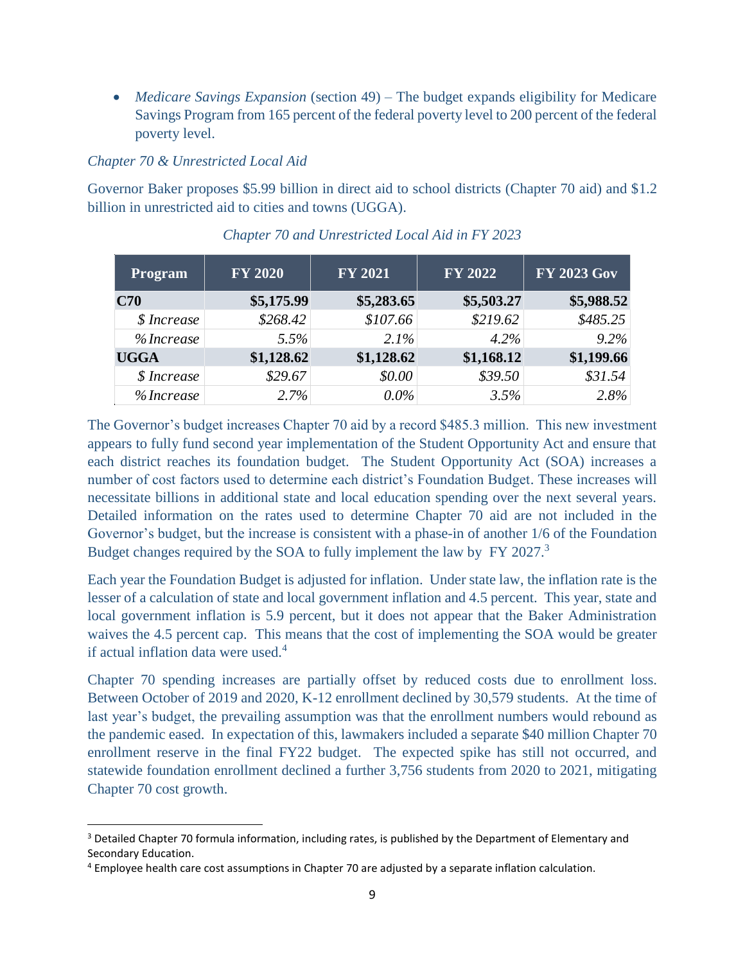*Medicare Savings Expansion* (section 49) – The budget expands eligibility for Medicare Savings Program from 165 percent of the federal poverty level to 200 percent of the federal poverty level.

#### *Chapter 70 & Unrestricted Local Aid*

 $\overline{a}$ 

Governor Baker proposes \$5.99 billion in direct aid to school districts (Chapter 70 aid) and \$1.2 billion in unrestricted aid to cities and towns (UGGA).

| Program     | <b>FY 2020</b> | <b>FY 2021</b> | <b>FY 2022</b> | FY 2023 Gov |
|-------------|----------------|----------------|----------------|-------------|
| C70         | \$5,175.99     | \$5,283.65     | \$5,503.27     | \$5,988.52  |
| \$ Increase | \$268.42       | \$107.66       | \$219.62       | \$485.25    |
| %Increase   | 5.5%           | $2.1\%$        | 4.2%           | 9.2%        |
| <b>UGGA</b> | \$1,128.62     | \$1,128.62     | \$1,168.12     | \$1,199.66  |
| \$ Increase | \$29.67        | \$0.00         | \$39.50        | \$31.54     |
| %Increase   | 2.7%           | $0.0\%$        | 3.5%           | 2.8%        |

*Chapter 70 and Unrestricted Local Aid in FY 2023*

The Governor's budget increases Chapter 70 aid by a record \$485.3 million. This new investment appears to fully fund second year implementation of the Student Opportunity Act and ensure that each district reaches its foundation budget. The Student Opportunity Act (SOA) increases a number of cost factors used to determine each district's Foundation Budget. These increases will necessitate billions in additional state and local education spending over the next several years. Detailed information on the rates used to determine Chapter 70 aid are not included in the Governor's budget, but the increase is consistent with a phase-in of another 1/6 of the Foundation Budget changes required by the SOA to fully implement the law by FY 2027.<sup>3</sup>

Each year the Foundation Budget is adjusted for inflation. Under state law, the inflation rate is the lesser of a calculation of state and local government inflation and 4.5 percent. This year, state and local government inflation is 5.9 percent, but it does not appear that the Baker Administration waives the 4.5 percent cap. This means that the cost of implementing the SOA would be greater if actual inflation data were used. $4$ 

Chapter 70 spending increases are partially offset by reduced costs due to enrollment loss. Between October of 2019 and 2020, K-12 enrollment declined by 30,579 students. At the time of last year's budget, the prevailing assumption was that the enrollment numbers would rebound as the pandemic eased. In expectation of this, lawmakers included a separate \$40 million Chapter 70 enrollment reserve in the final FY22 budget. The expected spike has still not occurred, and statewide foundation enrollment declined a further 3,756 students from 2020 to 2021, mitigating Chapter 70 cost growth.

<sup>&</sup>lt;sup>3</sup> Detailed Chapter 70 formula information, including rates, is published by the Department of Elementary and Secondary Education.

<sup>4</sup> Employee health care cost assumptions in Chapter 70 are adjusted by a separate inflation calculation.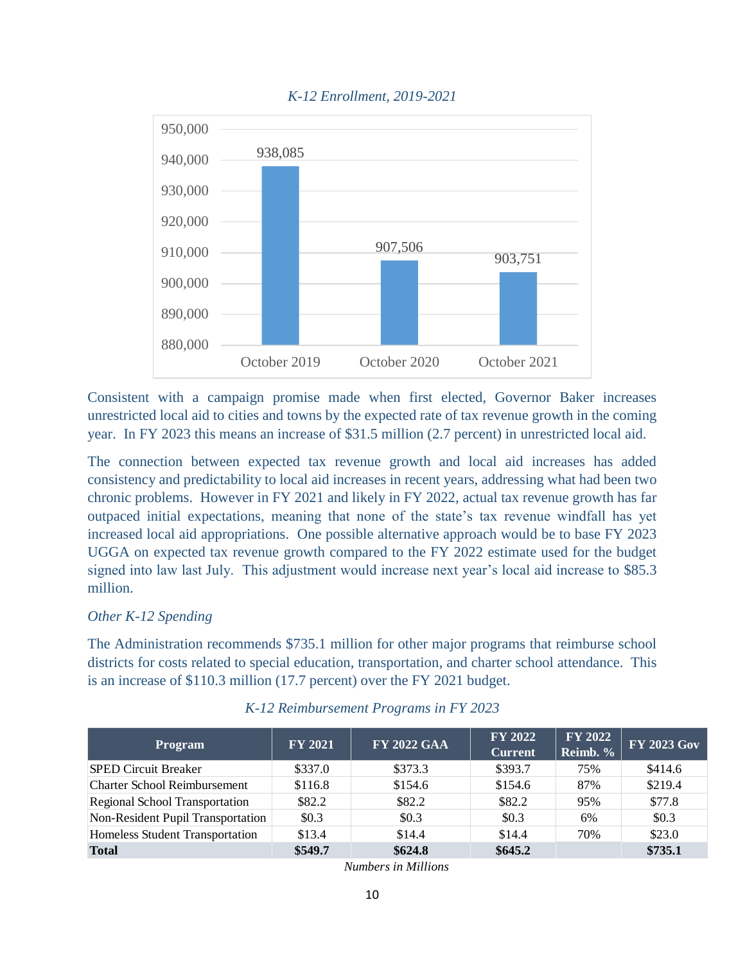

*K-12 Enrollment, 2019-2021*

Consistent with a campaign promise made when first elected, Governor Baker increases unrestricted local aid to cities and towns by the expected rate of tax revenue growth in the coming year. In FY 2023 this means an increase of \$31.5 million (2.7 percent) in unrestricted local aid.

The connection between expected tax revenue growth and local aid increases has added consistency and predictability to local aid increases in recent years, addressing what had been two chronic problems. However in FY 2021 and likely in FY 2022, actual tax revenue growth has far outpaced initial expectations, meaning that none of the state's tax revenue windfall has yet increased local aid appropriations. One possible alternative approach would be to base FY 2023 UGGA on expected tax revenue growth compared to the FY 2022 estimate used for the budget signed into law last July. This adjustment would increase next year's local aid increase to \$85.3 million.

#### *Other K-12 Spending*

The Administration recommends \$735.1 million for other major programs that reimburse school districts for costs related to special education, transportation, and charter school attendance. This is an increase of \$110.3 million (17.7 percent) over the FY 2021 budget.

| Program                               | <b>FY 2021</b> | <b>FY 2022 GAA</b> | <b>FY 2022</b><br><b>Current</b> | <b>FY 2022</b><br>Reimb. % | <b>FY 2023 Gov</b> |
|---------------------------------------|----------------|--------------------|----------------------------------|----------------------------|--------------------|
| <b>SPED Circuit Breaker</b>           | \$337.0        | \$373.3            | \$393.7                          | 75%                        | \$414.6            |
| <b>Charter School Reimbursement</b>   | \$116.8        | \$154.6            | \$154.6                          | 87%                        | \$219.4            |
| <b>Regional School Transportation</b> | \$82.2         | \$82.2             | \$82.2                           | 95%                        | \$77.8             |
| Non-Resident Pupil Transportation     | \$0.3\$        | \$0.3              | \$0.3                            | 6%                         | \$0.3\$            |
| Homeless Student Transportation       | \$13.4         | \$14.4             | \$14.4                           | 70%                        | \$23.0             |
| <b>Total</b>                          | \$549.7        | \$624.8            | \$645.2                          |                            | \$735.1            |

*K-12 Reimbursement Programs in FY 2023*

*Numbers in Millions*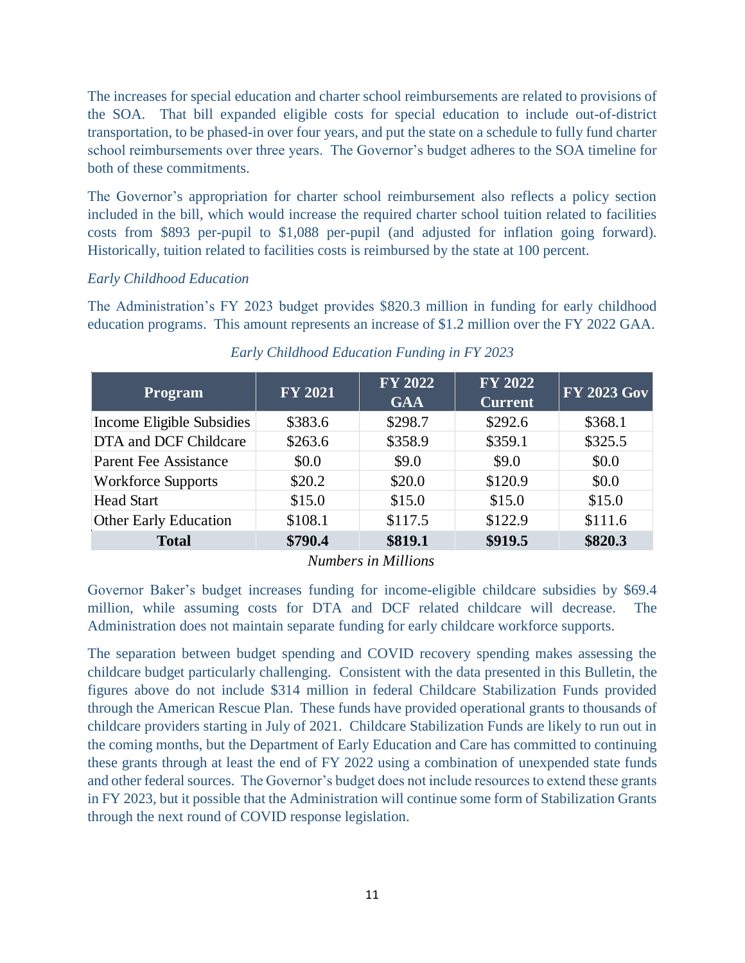The increases for special education and charter school reimbursements are related to provisions of the SOA. That bill expanded eligible costs for special education to include out-of-district transportation, to be phased-in over four years, and put the state on a schedule to fully fund charter school reimbursements over three years. The Governor's budget adheres to the SOA timeline for both of these commitments.

The Governor's appropriation for charter school reimbursement also reflects a policy section included in the bill, which would increase the required charter school tuition related to facilities costs from \$893 per-pupil to \$1,088 per-pupil (and adjusted for inflation going forward). Historically, tuition related to facilities costs is reimbursed by the state at 100 percent.

#### *Early Childhood Education*

The Administration's FY 2023 budget provides \$820.3 million in funding for early childhood education programs. This amount represents an increase of \$1.2 million over the FY 2022 GAA.

| Program                      | <b>FY 2021</b> | <b>FY 2022</b><br><b>GAA</b> | <b>FY 2022</b><br><b>Current</b> | $ $ FY 2023 Gov |
|------------------------------|----------------|------------------------------|----------------------------------|-----------------|
| Income Eligible Subsidies    | \$383.6        | \$298.7                      | \$292.6                          | \$368.1         |
| <b>DTA</b> and DCF Childcare | \$263.6        | \$358.9                      | \$359.1                          | \$325.5         |
| <b>Parent Fee Assistance</b> | \$0.0          | \$9.0                        | \$9.0                            | \$0.0           |
| <b>Workforce Supports</b>    | \$20.2\$       | \$20.0                       | \$120.9                          | \$0.0           |
| <b>Head Start</b>            | \$15.0         | \$15.0                       | \$15.0                           | \$15.0          |
| <b>Other Early Education</b> | \$108.1        | \$117.5                      | \$122.9                          | \$111.6         |
| <b>Total</b>                 | \$790.4        | \$819.1                      | \$919.5                          | \$820.3         |

### *Early Childhood Education Funding in FY 2023*

*Numbers in Millions*

Governor Baker's budget increases funding for income-eligible childcare subsidies by \$69.4 million, while assuming costs for DTA and DCF related childcare will decrease. The Administration does not maintain separate funding for early childcare workforce supports.

The separation between budget spending and COVID recovery spending makes assessing the childcare budget particularly challenging. Consistent with the data presented in this Bulletin, the figures above do not include \$314 million in federal Childcare Stabilization Funds provided through the American Rescue Plan. These funds have provided operational grants to thousands of childcare providers starting in July of 2021. Childcare Stabilization Funds are likely to run out in the coming months, but the Department of Early Education and Care has committed to continuing these grants through at least the end of FY 2022 using a combination of unexpended state funds and other federal sources. The Governor's budget does not include resources to extend these grants in FY 2023, but it possible that the Administration will continue some form of Stabilization Grants through the next round of COVID response legislation.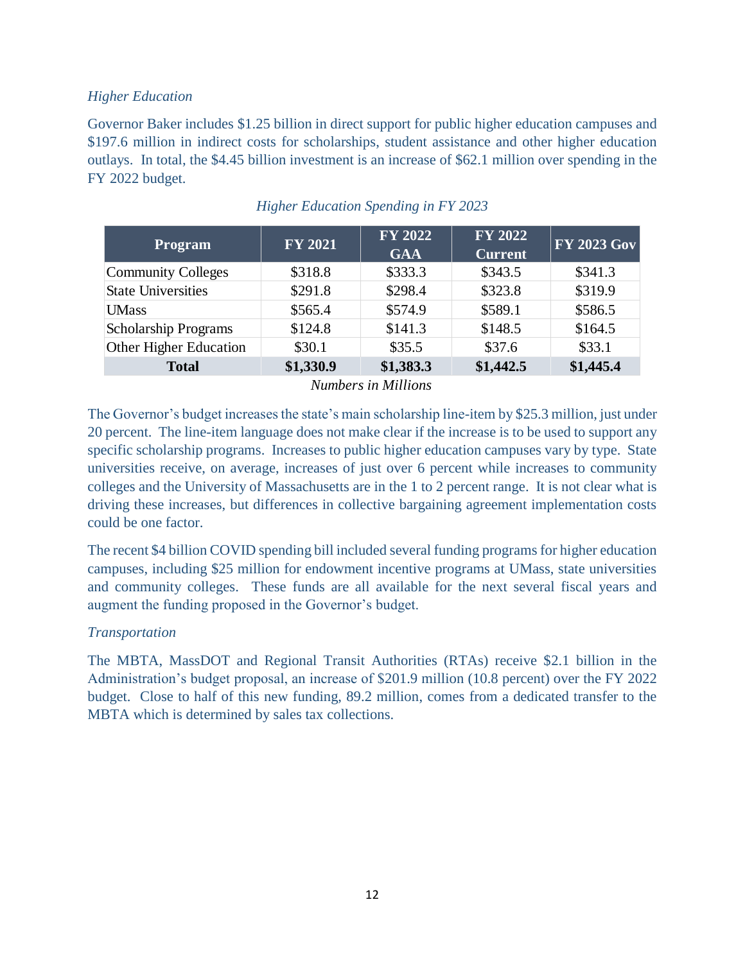### *Higher Education*

Governor Baker includes \$1.25 billion in direct support for public higher education campuses and \$197.6 million in indirect costs for scholarships, student assistance and other higher education outlays. In total, the \$4.45 billion investment is an increase of \$62.1 million over spending in the FY 2022 budget.

| <b>Program</b>              | <b>FY 2021</b> | <b>FY 2022</b><br><b>GAA</b> | <b>FY 2022</b><br><b>Current</b> | $ \mathrm{FY}$ 2023 Gov |
|-----------------------------|----------------|------------------------------|----------------------------------|-------------------------|
| Community Colleges          | \$318.8        | \$333.3                      | \$343.5                          | \$341.3                 |
| <b>State Universities</b>   | \$291.8        | \$298.4                      | \$323.8                          | \$319.9                 |
| <b>UMass</b>                | \$565.4        | \$574.9                      | \$589.1                          | \$586.5                 |
| <b>Scholarship Programs</b> | \$124.8        | \$141.3                      | \$148.5                          | \$164.5                 |
| Other Higher Education      | \$30.1         | \$35.5                       | \$37.6                           | \$33.1                  |
| <b>Total</b>                | \$1,330.9      | \$1,383.3                    | \$1,442.5                        | \$1,445.4               |

### *Higher Education Spending in FY 2023*

#### *Numbers in Millions*

The Governor's budget increases the state's main scholarship line-item by \$25.3 million, just under 20 percent. The line-item language does not make clear if the increase is to be used to support any specific scholarship programs. Increases to public higher education campuses vary by type. State universities receive, on average, increases of just over 6 percent while increases to community colleges and the University of Massachusetts are in the 1 to 2 percent range. It is not clear what is driving these increases, but differences in collective bargaining agreement implementation costs could be one factor.

The recent \$4 billion COVID spending bill included several funding programs for higher education campuses, including \$25 million for endowment incentive programs at UMass, state universities and community colleges. These funds are all available for the next several fiscal years and augment the funding proposed in the Governor's budget.

#### *Transportation*

The MBTA, MassDOT and Regional Transit Authorities (RTAs) receive \$2.1 billion in the Administration's budget proposal, an increase of \$201.9 million (10.8 percent) over the FY 2022 budget. Close to half of this new funding, 89.2 million, comes from a dedicated transfer to the MBTA which is determined by sales tax collections.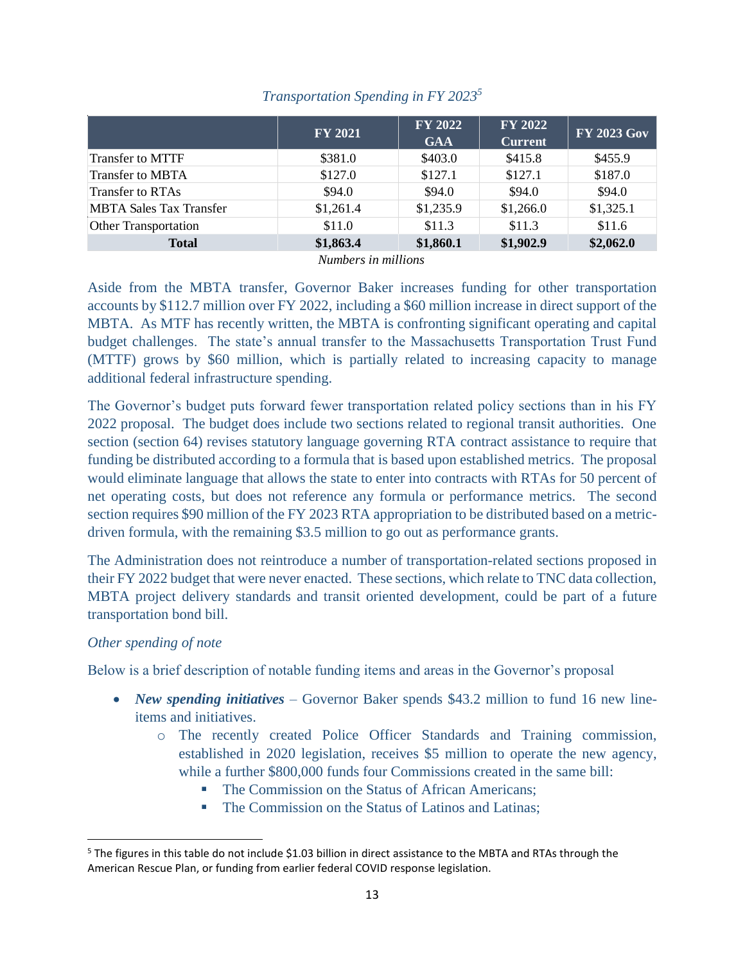|                                | <b>FY 2021</b> | <b>FY 2022</b><br><b>GAA</b> | <b>FY 2022</b><br><b>Current</b> | <b>FY 2023 Gov</b> |
|--------------------------------|----------------|------------------------------|----------------------------------|--------------------|
| Transfer to MTTF               | \$381.0        | \$403.0                      | \$415.8                          | \$455.9            |
| <b>Transfer to MBTA</b>        | \$127.0        | \$127.1                      | \$127.1                          | \$187.0            |
| Transfer to RTAs               | \$94.0         | \$94.0                       | \$94.0                           | \$94.0             |
| <b>MBTA Sales Tax Transfer</b> | \$1,261.4      | \$1,235.9                    | \$1,266.0                        | \$1,325.1          |
| Other Transportation           | \$11.0         | \$11.3                       | \$11.3                           | \$11.6             |
| <b>Total</b>                   | \$1,863.4      | \$1,860.1                    | \$1,902.9                        | \$2,062.0          |

#### *Transportation Spending in FY 2023<sup>5</sup>*

*Numbers in millions*

Aside from the MBTA transfer, Governor Baker increases funding for other transportation accounts by \$112.7 million over FY 2022, including a \$60 million increase in direct support of the MBTA. As MTF has recently written, the MBTA is confronting significant operating and capital budget challenges. The state's annual transfer to the Massachusetts Transportation Trust Fund (MTTF) grows by \$60 million, which is partially related to increasing capacity to manage additional federal infrastructure spending.

The Governor's budget puts forward fewer transportation related policy sections than in his FY 2022 proposal. The budget does include two sections related to regional transit authorities. One section (section 64) revises statutory language governing RTA contract assistance to require that funding be distributed according to a formula that is based upon established metrics. The proposal would eliminate language that allows the state to enter into contracts with RTAs for 50 percent of net operating costs, but does not reference any formula or performance metrics. The second section requires \$90 million of the FY 2023 RTA appropriation to be distributed based on a metricdriven formula, with the remaining \$3.5 million to go out as performance grants.

The Administration does not reintroduce a number of transportation-related sections proposed in their FY 2022 budget that were never enacted. These sections, which relate to TNC data collection, MBTA project delivery standards and transit oriented development, could be part of a future transportation bond bill.

#### *Other spending of note*

 $\overline{\phantom{a}}$ 

Below is a brief description of notable funding items and areas in the Governor's proposal

- *New spending initiatives* Governor Baker spends \$43.2 million to fund 16 new lineitems and initiatives.
	- o The recently created Police Officer Standards and Training commission, established in 2020 legislation, receives \$5 million to operate the new agency, while a further \$800,000 funds four Commissions created in the same bill:
		- The Commission on the Status of African Americans;
		- The Commission on the Status of Latinos and Latinas:

<sup>5</sup> The figures in this table do not include \$1.03 billion in direct assistance to the MBTA and RTAs through the American Rescue Plan, or funding from earlier federal COVID response legislation.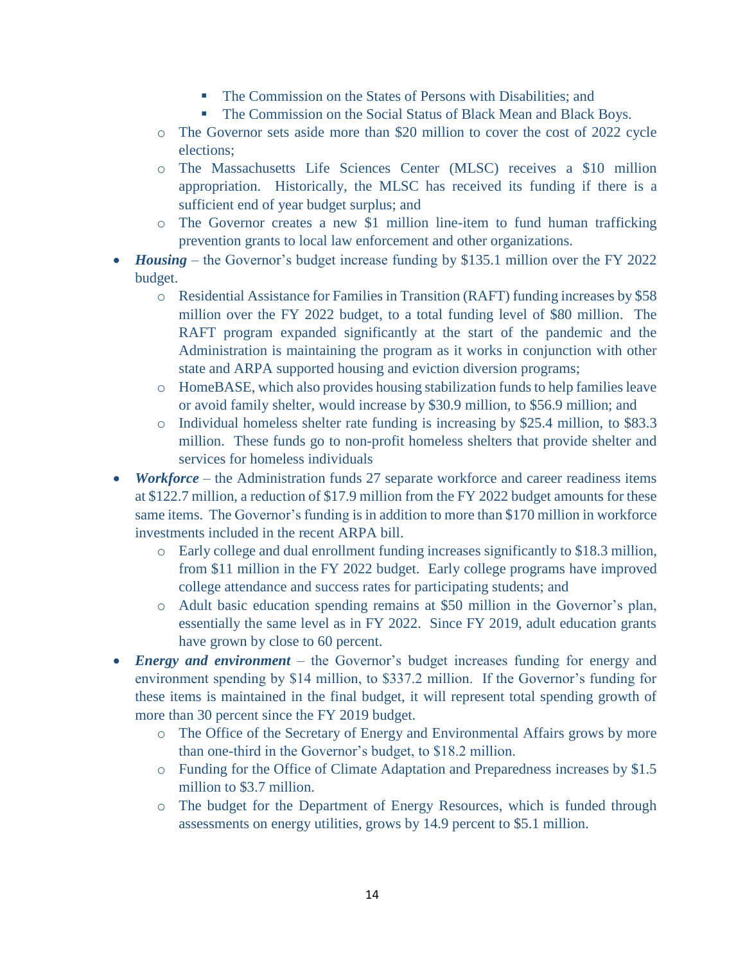- The Commission on the States of Persons with Disabilities; and
- The Commission on the Social Status of Black Mean and Black Boys.
- o The Governor sets aside more than \$20 million to cover the cost of 2022 cycle elections;
- o The Massachusetts Life Sciences Center (MLSC) receives a \$10 million appropriation. Historically, the MLSC has received its funding if there is a sufficient end of year budget surplus; and
- o The Governor creates a new \$1 million line-item to fund human trafficking prevention grants to local law enforcement and other organizations.
- *Housing* the Governor's budget increase funding by \$135.1 million over the FY 2022 budget.
	- o Residential Assistance for Families in Transition (RAFT) funding increases by \$58 million over the FY 2022 budget, to a total funding level of \$80 million. The RAFT program expanded significantly at the start of the pandemic and the Administration is maintaining the program as it works in conjunction with other state and ARPA supported housing and eviction diversion programs;
	- o HomeBASE, which also provides housing stabilization funds to help families leave or avoid family shelter, would increase by \$30.9 million, to \$56.9 million; and
	- o Individual homeless shelter rate funding is increasing by \$25.4 million, to \$83.3 million. These funds go to non-profit homeless shelters that provide shelter and services for homeless individuals
- *Workforce* the Administration funds 27 separate workforce and career readiness items at \$122.7 million, a reduction of \$17.9 million from the FY 2022 budget amounts for these same items. The Governor's funding is in addition to more than \$170 million in workforce investments included in the recent ARPA bill.
	- o Early college and dual enrollment funding increases significantly to \$18.3 million, from \$11 million in the FY 2022 budget. Early college programs have improved college attendance and success rates for participating students; and
	- o Adult basic education spending remains at \$50 million in the Governor's plan, essentially the same level as in FY 2022. Since FY 2019, adult education grants have grown by close to 60 percent.
- *Energy and environment* the Governor's budget increases funding for energy and environment spending by \$14 million, to \$337.2 million. If the Governor's funding for these items is maintained in the final budget, it will represent total spending growth of more than 30 percent since the FY 2019 budget.
	- o The Office of the Secretary of Energy and Environmental Affairs grows by more than one-third in the Governor's budget, to \$18.2 million.
	- o Funding for the Office of Climate Adaptation and Preparedness increases by \$1.5 million to \$3.7 million.
	- o The budget for the Department of Energy Resources, which is funded through assessments on energy utilities, grows by 14.9 percent to \$5.1 million.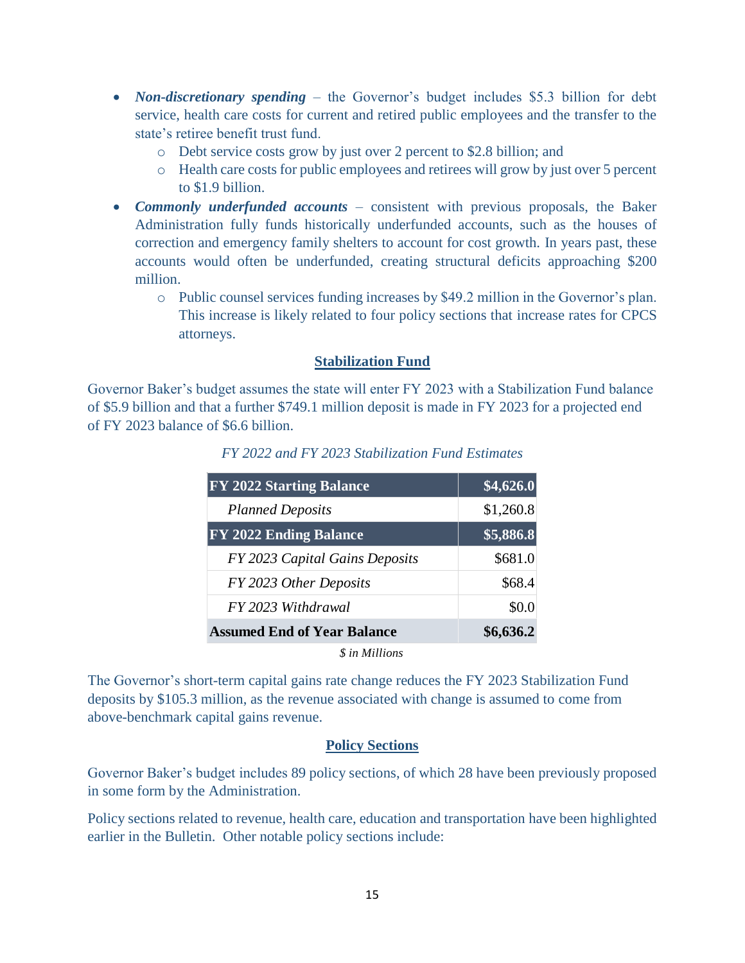- *Non-discretionary spending* the Governor's budget includes \$5.3 billion for debt service, health care costs for current and retired public employees and the transfer to the state's retiree benefit trust fund.
	- o Debt service costs grow by just over 2 percent to \$2.8 billion; and
	- o Health care costs for public employees and retirees will grow by just over 5 percent to \$1.9 billion.
- *Commonly underfunded accounts* consistent with previous proposals, the Baker Administration fully funds historically underfunded accounts, such as the houses of correction and emergency family shelters to account for cost growth. In years past, these accounts would often be underfunded, creating structural deficits approaching \$200 million.
	- o Public counsel services funding increases by \$49.2 million in the Governor's plan. This increase is likely related to four policy sections that increase rates for CPCS attorneys.

#### **Stabilization Fund**

Governor Baker's budget assumes the state will enter FY 2023 with a Stabilization Fund balance of \$5.9 billion and that a further \$749.1 million deposit is made in FY 2023 for a projected end of FY 2023 balance of \$6.6 billion.

| <b>FY 2022 Starting Balance</b>    | \$4,626.0 |
|------------------------------------|-----------|
| <b>Planned Deposits</b>            | \$1,260.8 |
| <b>FY 2022 Ending Balance</b>      | \$5,886.8 |
| FY 2023 Capital Gains Deposits     | \$681.0   |
| FY 2023 Other Deposits             | \$68.4    |
| FY 2023 Withdrawal                 | \$0.0     |
| <b>Assumed End of Year Balance</b> | \$6,636.2 |
| <i>S</i> in Millions               |           |

#### *FY 2022 and FY 2023 Stabilization Fund Estimates*

The Governor's short-term capital gains rate change reduces the FY 2023 Stabilization Fund deposits by \$105.3 million, as the revenue associated with change is assumed to come from above-benchmark capital gains revenue.

#### **Policy Sections**

Governor Baker's budget includes 89 policy sections, of which 28 have been previously proposed in some form by the Administration.

Policy sections related to revenue, health care, education and transportation have been highlighted earlier in the Bulletin. Other notable policy sections include: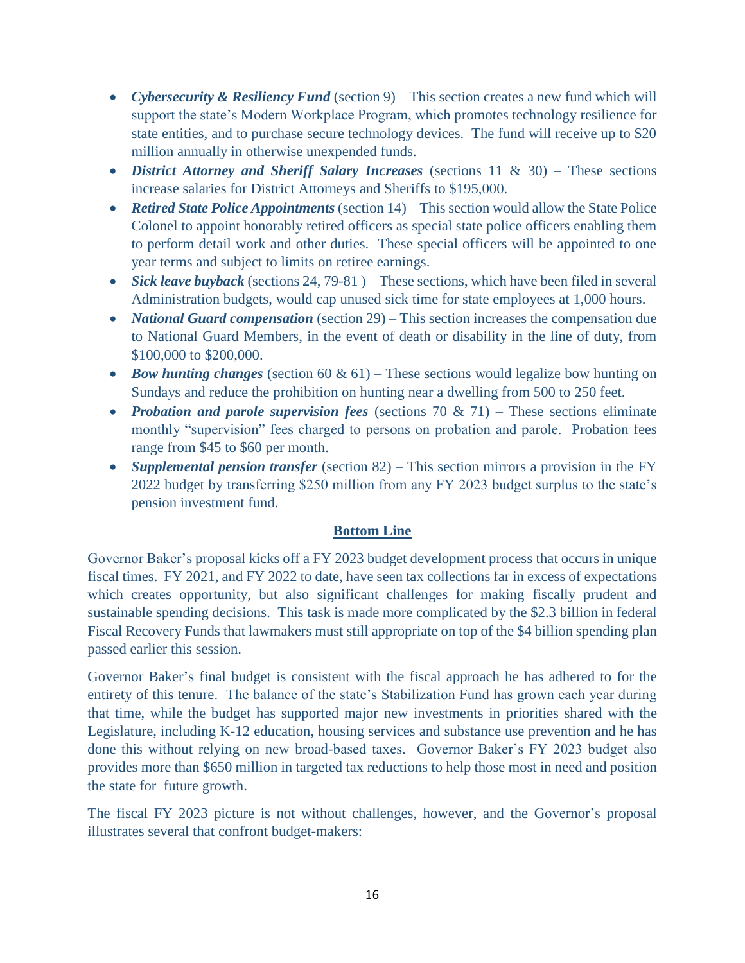- *Cybersecurity & Resiliency Fund* (section 9) This section creates a new fund which will support the state's Modern Workplace Program, which promotes technology resilience for state entities, and to purchase secure technology devices. The fund will receive up to \$20 million annually in otherwise unexpended funds.
- *District Attorney and Sheriff Salary Increases* (sections 11 & 30) These sections increase salaries for District Attorneys and Sheriffs to \$195,000.
- *Retired State Police Appointments* (section 14) This section would allow the State Police Colonel to appoint honorably retired officers as special state police officers enabling them to perform detail work and other duties. These special officers will be appointed to one year terms and subject to limits on retiree earnings.
- *Sick leave buyback* (sections 24, 79-81) These sections, which have been filed in several Administration budgets, would cap unused sick time for state employees at 1,000 hours.
- *National Guard compensation* (section 29) This section increases the compensation due to National Guard Members, in the event of death or disability in the line of duty, from \$100,000 to \$200,000.
- *Bow hunting changes* (section 60 & 61) These sections would legalize bow hunting on Sundays and reduce the prohibition on hunting near a dwelling from 500 to 250 feet.
- *Probation and parole supervision fees* (sections 70 & 71) These sections eliminate monthly "supervision" fees charged to persons on probation and parole. Probation fees range from \$45 to \$60 per month.
- *Supplemental pension transfer* (section 82) This section mirrors a provision in the FY 2022 budget by transferring \$250 million from any FY 2023 budget surplus to the state's pension investment fund.

### **Bottom Line**

Governor Baker's proposal kicks off a FY 2023 budget development process that occurs in unique fiscal times. FY 2021, and FY 2022 to date, have seen tax collections far in excess of expectations which creates opportunity, but also significant challenges for making fiscally prudent and sustainable spending decisions. This task is made more complicated by the \$2.3 billion in federal Fiscal Recovery Funds that lawmakers must still appropriate on top of the \$4 billion spending plan passed earlier this session.

Governor Baker's final budget is consistent with the fiscal approach he has adhered to for the entirety of this tenure. The balance of the state's Stabilization Fund has grown each year during that time, while the budget has supported major new investments in priorities shared with the Legislature, including K-12 education, housing services and substance use prevention and he has done this without relying on new broad-based taxes. Governor Baker's FY 2023 budget also provides more than \$650 million in targeted tax reductions to help those most in need and position the state for future growth.

The fiscal FY 2023 picture is not without challenges, however, and the Governor's proposal illustrates several that confront budget-makers: